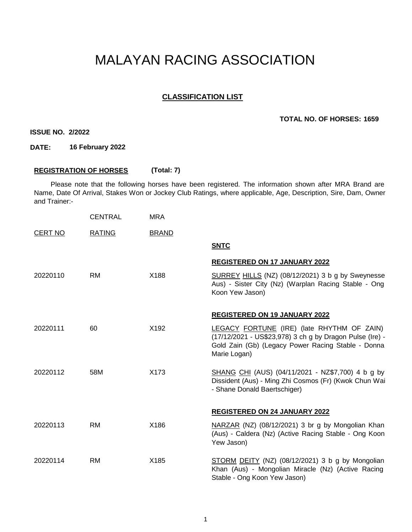# MALAYAN RACING ASSOCIATION

## **CLASSIFICATION LIST**

### **TOTAL NO. OF HORSES: 1659**

**ISSUE NO. 2/2022**

**DATE: 16 February 2022**

### **REGISTRATION OF HORSES (Total: 7)**

Please note that the following horses have been registered. The information shown after MRA Brand are Name, Date Of Arrival, Stakes Won or Jockey Club Ratings, where applicable, Age, Description, Sire, Dam, Owner and Trainer:-

|                | <b>CENTRAL</b> | <b>MRA</b>   |                                                                                                                                                                              |
|----------------|----------------|--------------|------------------------------------------------------------------------------------------------------------------------------------------------------------------------------|
| <b>CERT NO</b> | <b>RATING</b>  | <b>BRAND</b> |                                                                                                                                                                              |
|                |                |              | <b>SNTC</b>                                                                                                                                                                  |
|                |                |              | <b>REGISTERED ON 17 JANUARY 2022</b>                                                                                                                                         |
| 20220110       | <b>RM</b>      | X188         | SURREY HILLS (NZ) (08/12/2021) 3 b g by Sweynesse<br>Aus) - Sister City (Nz) (Warplan Racing Stable - Ong<br>Koon Yew Jason)                                                 |
|                |                |              | REGISTERED ON 19 JANUARY 2022                                                                                                                                                |
| 20220111       | 60             | X192         | LEGACY FORTUNE (IRE) (late RHYTHM OF ZAIN)<br>(17/12/2021 - US\$23,978) 3 ch g by Dragon Pulse (Ire) -<br>Gold Zain (Gb) (Legacy Power Racing Stable - Donna<br>Marie Logan) |
| 20220112       | 58M            | X173         | SHANG CHI (AUS) (04/11/2021 - NZ\$7,700) 4 b g by<br>Dissident (Aus) - Ming Zhi Cosmos (Fr) (Kwok Chun Wai<br>- Shane Donald Baertschiger)                                   |
|                |                |              | <b>REGISTERED ON 24 JANUARY 2022</b>                                                                                                                                         |
| 20220113       | <b>RM</b>      | X186         | NARZAR (NZ) (08/12/2021) 3 br g by Mongolian Khan<br>(Aus) - Caldera (Nz) (Active Racing Stable - Ong Koon<br>Yew Jason)                                                     |
| 20220114       | <b>RM</b>      | X185         | STORM DEITY (NZ) (08/12/2021) 3 b g by Mongolian<br>Khan (Aus) - Mongolian Miracle (Nz) (Active Racing<br>Stable - Ong Koon Yew Jason)                                       |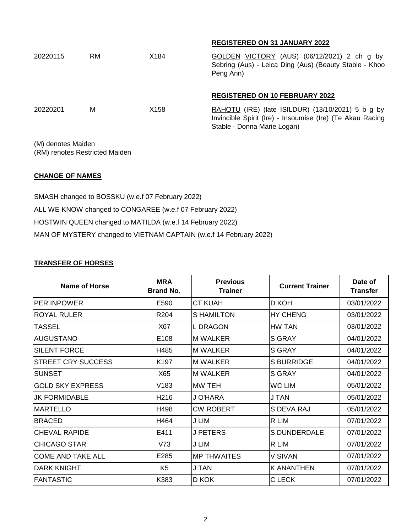|          |           |      | <b>REGISTERED ON 31 JANUARY 2022</b>                                                                                                            |
|----------|-----------|------|-------------------------------------------------------------------------------------------------------------------------------------------------|
| 20220115 | <b>RM</b> | X184 | GOLDEN VICTORY (AUS) (06/12/2021) 2 ch g by<br>Sebring (Aus) - Leica Ding (Aus) (Beauty Stable - Khoo<br>Peng Ann)                              |
|          |           |      | <b>REGISTERED ON 10 FEBRUARY 2022</b>                                                                                                           |
| 20220201 | м         | X158 | RAHOTU (IRE) (late ISILDUR) $(13/10/2021)$ 5 b g by<br>Invincible Spirit (Ire) - Insoumise (Ire) (Te Akau Racing<br>Stable - Donna Marie Logan) |

(M) denotes Maiden (RM) renotes Restricted Maiden

## **CHANGE OF NAMES**

SMASH changed to BOSSKU (w.e.f 07 February 2022) ALL WE KNOW changed to CONGAREE (w.e.f 07 February 2022) HOSTWIN QUEEN changed to MATILDA (w.e.f 14 February 2022) MAN OF MYSTERY changed to VIETNAM CAPTAIN (w.e.f 14 February 2022)

#### **TRANSFER OF HORSES**

| Name of Horse             | <b>MRA</b><br><b>Brand No.</b> | <b>Previous</b><br><b>Trainer</b> | <b>Current Trainer</b> | Date of<br><b>Transfer</b> |
|---------------------------|--------------------------------|-----------------------------------|------------------------|----------------------------|
| <b>PER INPOWER</b>        | E590                           | <b>CT KUAH</b>                    | D KOH                  | 03/01/2022                 |
| <b>ROYAL RULER</b>        | R <sub>204</sub>               | S HAMILTON                        | <b>HY CHENG</b>        | 03/01/2022                 |
| <b>TASSEL</b>             | X67                            | <b>L DRAGON</b>                   | HW TAN                 | 03/01/2022                 |
| AUGUSTANO                 | E <sub>108</sub>               | <b>M WALKER</b>                   | S GRAY                 | 04/01/2022                 |
| <b>SILENT FORCE</b>       | H485                           | <b>M WALKER</b>                   | <b>S GRAY</b>          | 04/01/2022                 |
| <b>STREET CRY SUCCESS</b> | K <sub>197</sub>               | <b>M WALKER</b>                   | <b>S BURRIDGE</b>      | 04/01/2022                 |
| <b>SUNSET</b>             | X65                            | IM WALKER                         | S GRAY                 | 04/01/2022                 |
| <b>GOLD SKY EXPRESS</b>   | V183                           | MW TEH                            | WC LIM                 | 05/01/2022                 |
| <b>JK FORMIDABLE</b>      | H <sub>2</sub> 16              | J O'HARA                          | J TAN                  | 05/01/2022                 |
| <b>MARTELLO</b>           | H498                           | <b>CW ROBERT</b>                  | S DEVA RAJ             | 05/01/2022                 |
| <b>BRACED</b>             | H464                           | J LIM                             | R LIM                  | 07/01/2022                 |
| <b>CHEVAL RAPIDE</b>      | E411                           | <b>J PETERS</b>                   | <b>S DUNDERDALE</b>    | 07/01/2022                 |
| <b>CHICAGO STAR</b>       | V73                            | J LIM                             | R LIM                  | 07/01/2022                 |
| <b>COME AND TAKE ALL</b>  | E285                           | IMP THWAITES                      | V SIVAN                | 07/01/2022                 |
| <b>DARK KNIGHT</b>        | K <sub>5</sub>                 | <b>J TAN</b>                      | <b>K ANANTHEN</b>      | 07/01/2022                 |
| <b>FANTASTIC</b>          | K383                           | D KOK                             | C LECK                 | 07/01/2022                 |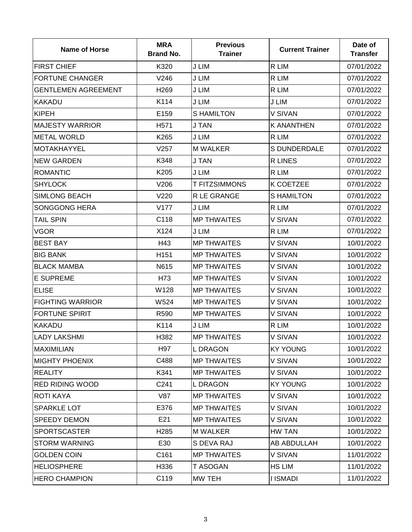| <b>Name of Horse</b>       | <b>MRA</b><br><b>Brand No.</b> | <b>Previous</b><br><b>Trainer</b> | <b>Current Trainer</b> | Date of<br><b>Transfer</b> |
|----------------------------|--------------------------------|-----------------------------------|------------------------|----------------------------|
| <b>FIRST CHIEF</b>         | K320                           | J LIM                             | R LIM                  | 07/01/2022                 |
| <b>FORTUNE CHANGER</b>     | V246                           | J LIM                             | R LIM                  | 07/01/2022                 |
| <b>GENTLEMEN AGREEMENT</b> | H <sub>269</sub>               | J LIM                             | R LIM                  | 07/01/2022                 |
| <b>KAKADU</b>              | K114                           | J LIM                             | J LIM                  | 07/01/2022                 |
| <b>KIPEH</b>               | E159                           | <b>S HAMILTON</b>                 | V SIVAN                | 07/01/2022                 |
| <b>MAJESTY WARRIOR</b>     | H <sub>571</sub>               | J TAN                             | <b>K ANANTHEN</b>      | 07/01/2022                 |
| <b>METAL WORLD</b>         | K265                           | J LIM                             | R LIM                  | 07/01/2022                 |
| <b>MOTAKHAYYEL</b>         | V257                           | <b>M WALKER</b>                   | S DUNDERDALE           | 07/01/2022                 |
| <b>NEW GARDEN</b>          | K348                           | <b>J TAN</b>                      | <b>R LINES</b>         | 07/01/2022                 |
| <b>ROMANTIC</b>            | K205                           | J LIM                             | R LIM                  | 07/01/2022                 |
| <b>SHYLOCK</b>             | V206                           | <b>T FITZSIMMONS</b>              | K COETZEE              | 07/01/2022                 |
| <b>SIMLONG BEACH</b>       | V220                           | R LE GRANGE                       | <b>SHAMILTON</b>       | 07/01/2022                 |
| <b>SONGGONG HERA</b>       | V177                           | J LIM                             | R LIM                  | 07/01/2022                 |
| <b>TAIL SPIN</b>           | C118                           | <b>MP THWAITES</b>                | V SIVAN                | 07/01/2022                 |
| VGOR                       | X124                           | J LIM                             | R LIM                  | 07/01/2022                 |
| <b>BEST BAY</b>            | H43                            | <b>MP THWAITES</b>                | V SIVAN                | 10/01/2022                 |
| <b>BIG BANK</b>            | H151                           | <b>MP THWAITES</b>                | V SIVAN                | 10/01/2022                 |
| <b>BLACK MAMBA</b>         | N615                           | <b>MP THWAITES</b>                | V SIVAN                | 10/01/2022                 |
| <b>E SUPREME</b>           | H73                            | <b>MP THWAITES</b>                | V SIVAN                | 10/01/2022                 |
| <b>ELISE</b>               | W128                           | <b>MP THWAITES</b>                | V SIVAN                | 10/01/2022                 |
| <b>FIGHTING WARRIOR</b>    | W524                           | <b>MP THWAITES</b>                | V SIVAN                | 10/01/2022                 |
| <b>FORTUNE SPIRIT</b>      | R590                           | <b>MP THWAITES</b>                | V SIVAN                | 10/01/2022                 |
| <b>KAKADU</b>              | K114                           | J LIM                             | R LIM                  | 10/01/2022                 |
| <b>LADY LAKSHMI</b>        | H382                           | <b>MP THWAITES</b>                | V SIVAN                | 10/01/2022                 |
| <b>MAXIMILIAN</b>          | H97                            | L DRAGON                          | <b>KY YOUNG</b>        | 10/01/2022                 |
| <b>MIGHTY PHOENIX</b>      | C488                           | <b>MP THWAITES</b>                | V SIVAN                | 10/01/2022                 |
| <b>REALITY</b>             | K341                           | <b>MP THWAITES</b>                | V SIVAN                | 10/01/2022                 |
| <b>RED RIDING WOOD</b>     | C241                           | <b>LDRAGON</b>                    | <b>KY YOUNG</b>        | 10/01/2022                 |
| <b>ROTI KAYA</b>           | <b>V87</b>                     | <b>MP THWAITES</b>                | V SIVAN                | 10/01/2022                 |
| SPARKLE LOT                | E376                           | <b>MP THWAITES</b>                | V SIVAN                | 10/01/2022                 |
| SPEEDY DEMON               | E21                            | <b>MP THWAITES</b>                | V SIVAN                | 10/01/2022                 |
| <b>SPORTSCASTER</b>        | H <sub>285</sub>               | <b>M WALKER</b>                   | HW TAN                 | 10/01/2022                 |
| <b>STORM WARNING</b>       | E30                            | S DEVA RAJ                        | AB ABDULLAH            | 10/01/2022                 |
| <b>GOLDEN COIN</b>         | C161                           | <b>MP THWAITES</b>                | V SIVAN                | 11/01/2022                 |
| <b>HELIOSPHERE</b>         | H336                           | <b>T ASOGAN</b>                   | HS LIM                 | 11/01/2022                 |
| <b>HERO CHAMPION</b>       | C119                           | MW TEH                            | <b>I ISMADI</b>        | 11/01/2022                 |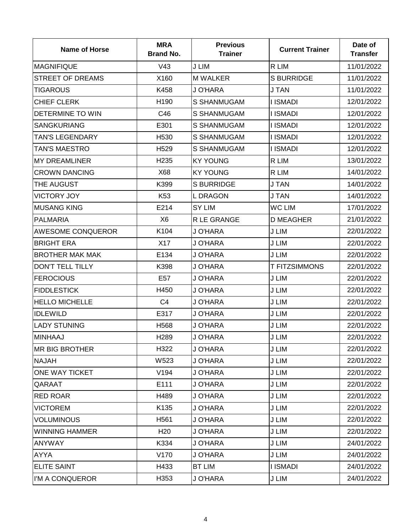| <b>Name of Horse</b>     | <b>MRA</b><br><b>Brand No.</b> | <b>Previous</b><br><b>Trainer</b> | <b>Current Trainer</b> | Date of<br><b>Transfer</b> |
|--------------------------|--------------------------------|-----------------------------------|------------------------|----------------------------|
| <b>MAGNIFIQUE</b>        | V43                            | J LIM                             | R LIM                  | 11/01/2022                 |
| <b>STREET OF DREAMS</b>  | X160                           | <b>M WALKER</b>                   | <b>S BURRIDGE</b>      | 11/01/2022                 |
| <b>TIGAROUS</b>          | K458                           | J O'HARA                          | <b>J TAN</b>           | 11/01/2022                 |
| <b>CHIEF CLERK</b>       | H <sub>190</sub>               | <b>S SHANMUGAM</b>                | I ISMADI               | 12/01/2022                 |
| DETERMINE TO WIN         | C46                            | <b>S SHANMUGAM</b>                | <b>I ISMADI</b>        | 12/01/2022                 |
| <b>SANGKURIANG</b>       | E301                           | <b>S SHANMUGAM</b>                | <b>I ISMADI</b>        | 12/01/2022                 |
| <b>TAN'S LEGENDARY</b>   | H <sub>530</sub>               | <b>S SHANMUGAM</b>                | <b>I ISMADI</b>        | 12/01/2022                 |
| <b>TAN'S MAESTRO</b>     | H <sub>529</sub>               | <b>S SHANMUGAM</b>                | <b>I ISMADI</b>        | 12/01/2022                 |
| <b>MY DREAMLINER</b>     | H <sub>235</sub>               | <b>KY YOUNG</b>                   | R LIM                  | 13/01/2022                 |
| <b>CROWN DANCING</b>     | X68                            | <b>KY YOUNG</b>                   | R LIM                  | 14/01/2022                 |
| THE AUGUST               | K399                           | <b>S BURRIDGE</b>                 | <b>J TAN</b>           | 14/01/2022                 |
| <b>VICTORY JOY</b>       | K <sub>53</sub>                | L DRAGON                          | <b>J TAN</b>           | 14/01/2022                 |
| <b>MUSANG KING</b>       | E214                           | SY LIM                            | <b>WC LIM</b>          | 17/01/2022                 |
| PALMARIA                 | X <sub>6</sub>                 | R LE GRANGE                       | <b>D MEAGHER</b>       | 21/01/2022                 |
| <b>AWESOME CONQUEROR</b> | K104                           | J O'HARA                          | J LIM                  | 22/01/2022                 |
| <b>BRIGHT ERA</b>        | X17                            | J O'HARA                          | J LIM                  | 22/01/2022                 |
| <b>BROTHER MAK MAK</b>   | E134                           | J O'HARA                          | J LIM                  | 22/01/2022                 |
| <b>DON'T TELL TILLY</b>  | K398                           | J O'HARA                          | <b>T FITZSIMMONS</b>   | 22/01/2022                 |
| <b>FEROCIOUS</b>         | E57                            | J O'HARA                          | J LIM                  | 22/01/2022                 |
| <b>FIDDLESTICK</b>       | H450                           | J O'HARA                          | J LIM                  | 22/01/2022                 |
| <b>HELLO MICHELLE</b>    | C <sub>4</sub>                 | J O'HARA                          | J LIM                  | 22/01/2022                 |
| <b>IDLEWILD</b>          | E317                           | J O'HARA                          | J LIM                  | 22/01/2022                 |
| <b>LADY STUNING</b>      | H568                           | J O'HARA                          | J LIM                  | 22/01/2022                 |
| <b>MINHAAJ</b>           | H <sub>289</sub>               | J O'HARA                          | J LIM                  | 22/01/2022                 |
| IMR BIG BROTHER          | H322                           | J O'HARA                          | J LIM                  | 22/01/2022                 |
| <b>NAJAH</b>             | W523                           | J O'HARA                          | J LIM                  | 22/01/2022                 |
| <b>ONE WAY TICKET</b>    | V194                           | J O'HARA                          | J LIM                  | 22/01/2022                 |
| QARAAT                   | E111                           | J O'HARA                          | J LIM                  | 22/01/2022                 |
| <b>RED ROAR</b>          | H489                           | J O'HARA                          | J LIM                  | 22/01/2022                 |
| <b>VICTOREM</b>          | K135                           | J O'HARA                          | J LIM                  | 22/01/2022                 |
| <b>VOLUMINOUS</b>        | H561                           | J O'HARA                          | J LIM                  | 22/01/2022                 |
| <b>WINNING HAMMER</b>    | H <sub>20</sub>                | J O'HARA                          | J LIM                  | 22/01/2022                 |
| <b>ANYWAY</b>            | K334                           | J O'HARA                          | J LIM                  | 24/01/2022                 |
| <b>AYYA</b>              | V170                           | J O'HARA                          | J LIM                  | 24/01/2022                 |
| <b>ELITE SAINT</b>       | H433                           | <b>BT LIM</b>                     | <b>I ISMADI</b>        | 24/01/2022                 |
| I'M A CONQUEROR          | H353                           | J O'HARA                          | J LIM                  | 24/01/2022                 |